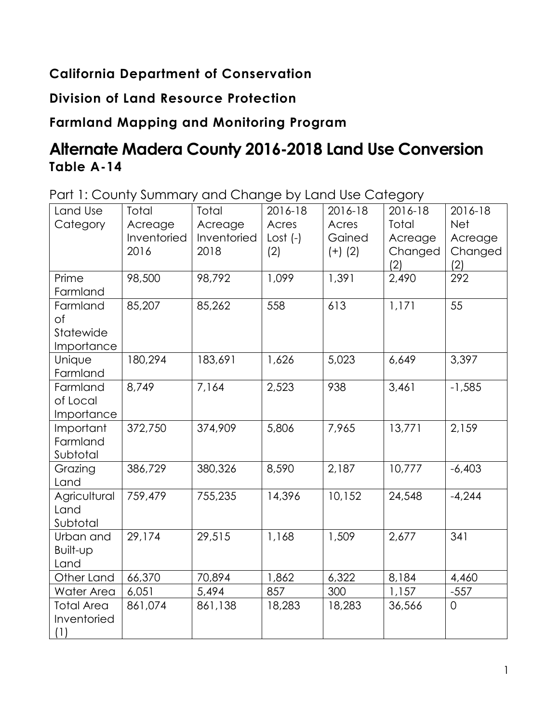## **California Department of Conservation**

## **Division of Land Resource Protection**

## **Farmland Mapping and Monitoring Program**

# **Alternate Madera County 2016-2018 Land Use Conversion Table A-14**

Part 1: County Summary and Change by Land Use Category

| Land Use<br>Category                      | Total<br>Acreage<br>Inventoried<br>2016 | Total<br>Acreage<br>Inventoried<br>2018 | 2016-18<br>Acres<br>$Cost (-)$<br>(2) | 2016-18<br>Acres<br>Gained<br>$(+)$ (2) | 2016-18<br>Total<br>Acreage<br>Changed<br>(2) | 2016-18<br><b>Net</b><br>Acreage<br>Changed<br>(2) |
|-------------------------------------------|-----------------------------------------|-----------------------------------------|---------------------------------------|-----------------------------------------|-----------------------------------------------|----------------------------------------------------|
| Prime<br>Farmland                         | 98,500                                  | 98,792                                  | 1,099                                 | 1,391                                   | 2,490                                         | 292                                                |
| Farmland<br>of<br>Statewide<br>Importance | 85,207                                  | 85,262                                  | 558                                   | 613                                     | 1,171                                         | 55                                                 |
| Unique<br>Farmland                        | 180,294                                 | 183,691                                 | 1,626                                 | 5,023                                   | 6,649                                         | 3,397                                              |
| Farmland<br>of Local<br>Importance        | 8,749                                   | 7,164                                   | 2,523                                 | 938                                     | 3,461                                         | $-1,585$                                           |
| Important<br>Farmland<br>Subtotal         | 372,750                                 | 374,909                                 | 5,806                                 | 7,965                                   | 13,771                                        | 2,159                                              |
| Grazing<br>Land                           | 386,729                                 | 380,326                                 | 8,590                                 | 2,187                                   | 10,777                                        | $-6,403$                                           |
| Agricultural<br>Land<br>Subtotal          | 759,479                                 | 755,235                                 | 14,396                                | 10,152                                  | 24,548                                        | $-4,244$                                           |
| Urban and<br>Built-up<br>Land             | 29,174                                  | 29,515                                  | 1,168                                 | 1,509                                   | 2,677                                         | 341                                                |
| Other Land                                | 66,370                                  | 70,894                                  | 1,862                                 | 6,322                                   | 8,184                                         | 4,460                                              |
| Water Area                                | 6,051                                   | 5,494                                   | 857                                   | 300                                     | 1,157                                         | $-557$                                             |
| <b>Total Area</b><br>Inventoried<br>(1)   | 861,074                                 | 861,138                                 | 18,283                                | 18,283                                  | 36,566                                        | $\overline{0}$                                     |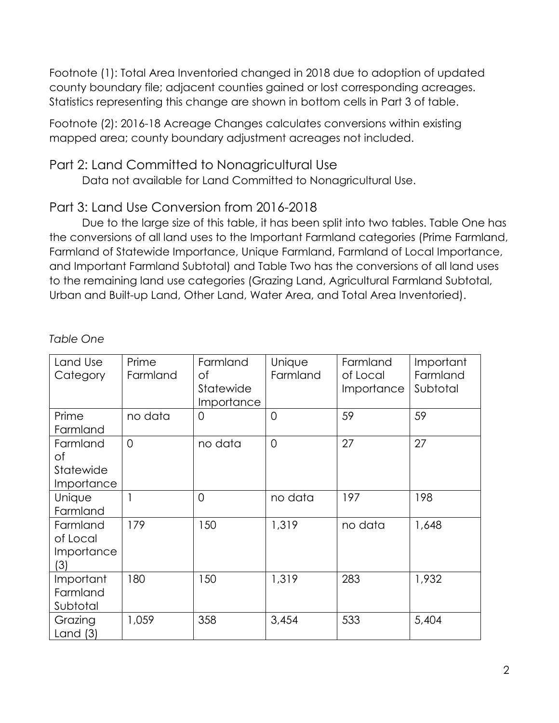Footnote (1): Total Area Inventoried changed in 2018 due to adoption of updated county boundary file; adjacent counties gained or lost corresponding acreages. Statistics representing this change are shown in bottom cells in Part 3 of table.

Footnote (2): 2016-18 Acreage Changes calculates conversions within existing mapped area; county boundary adjustment acreages not included.

#### Part 2: Land Committed to Nonagricultural Use

Data not available for Land Committed to Nonagricultural Use.

### Part 3: Land Use Conversion from 2016-2018

Due to the large size of this table, it has been split into two tables. Table One has the conversions of all land uses to the Important Farmland categories (Prime Farmland, Farmland of Statewide Importance, Unique Farmland, Farmland of Local Importance, and Important Farmland Subtotal) and Table Two has the conversions of all land uses to the remaining land use categories (Grazing Land, Agricultural Farmland Subtotal, Urban and Built-up Land, Other Land, Water Area, and Total Area Inventoried).

| Land Use<br>Category                      | Prime<br>Farmland | Farmland<br>Оf<br>Statewide<br>Importance | Unique<br>Farmland | Farmland<br>of Local<br>Importance | Important<br>Farmland<br>Subtotal |
|-------------------------------------------|-------------------|-------------------------------------------|--------------------|------------------------------------|-----------------------------------|
| Prime<br>Farmland                         | no data           | $\Omega$                                  | $\Omega$           | 59                                 | 59                                |
| Farmland<br>of<br>Statewide<br>Importance | $\overline{O}$    | no data                                   | $\overline{0}$     | 27                                 | 27                                |
| Unique<br>Farmland                        |                   | $\overline{0}$                            | no data            | 197                                | 198                               |
| Farmland<br>of Local<br>Importance<br>(3) | 179               | 150                                       | 1,319              | no data                            | 1,648                             |
| Important<br>Farmland<br>Subtotal         | 180               | 150                                       | 1,319              | 283                                | 1,932                             |
| Grazing<br>Land $(3)$                     | 1,059             | 358                                       | 3,454              | 533                                | 5,404                             |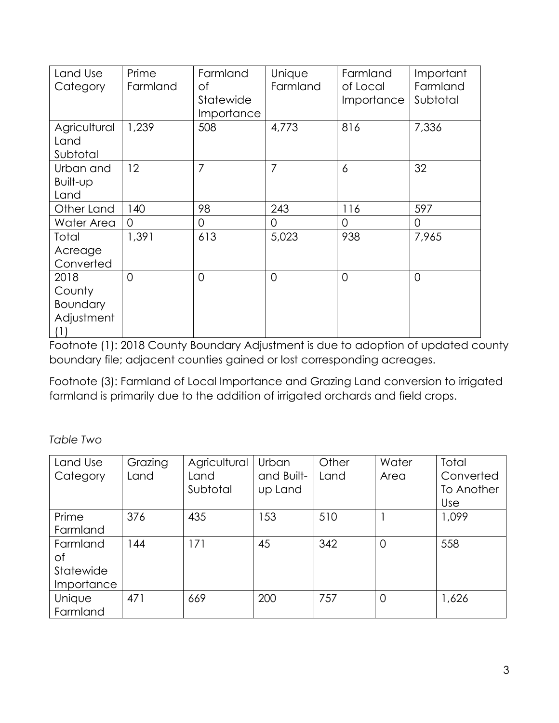| Land Use<br>Category                            | Prime<br>Farmland | Farmland<br>оf<br>Statewide<br>Importance | Unique<br>Farmland | Farmland<br>of Local<br>Importance | Important<br>Farmland<br>Subtotal |
|-------------------------------------------------|-------------------|-------------------------------------------|--------------------|------------------------------------|-----------------------------------|
| Agricultural<br>Land<br>Subtotal                | 1,239             | 508                                       | 4,773              | 816                                | 7,336                             |
| Urban and<br>Built-up<br>Land                   | 12                | 7                                         | $\overline{7}$     | 6                                  | 32                                |
| Other Land                                      | 140               | 98                                        | 243                | 116                                | 597                               |
| Water Area                                      | 0                 | 0                                         | $\overline{0}$     | 0                                  | 0                                 |
| Total<br>Acreage<br>Converted                   | 1,391             | 613                                       | 5,023              | 938                                | 7,965                             |
| 2018<br>County<br>Boundary<br>Adjustment<br>(1) | $\overline{0}$    | $\overline{0}$                            | $\Omega$           | $\Omega$                           | $\overline{0}$                    |

Footnote (1): 2018 County Boundary Adjustment is due to adoption of updated county boundary file; adjacent counties gained or lost corresponding acreages.

Footnote (3): Farmland of Local Importance and Grazing Land conversion to irrigated farmland is primarily due to the addition of irrigated orchards and field crops.

*Table Two* 

| Land Use<br>Category                      | Grazing<br>Land | Agricultural<br>Land<br>Subtotal | Urban<br>and Built-<br>up Land | Other<br>Land | Water<br>Area  | Total<br>Converted<br>To Another<br><b>Use</b> |
|-------------------------------------------|-----------------|----------------------------------|--------------------------------|---------------|----------------|------------------------------------------------|
| Prime<br>Farmland                         | 376             | 435                              | 153                            | 510           |                | 1,099                                          |
| Farmland<br>Оf<br>Statewide<br>Importance | 144             | 171                              | 45                             | 342           | $\overline{0}$ | 558                                            |
| Unique<br>Farmland                        | 471             | 669                              | 200                            | 757           | $\overline{0}$ | 1,626                                          |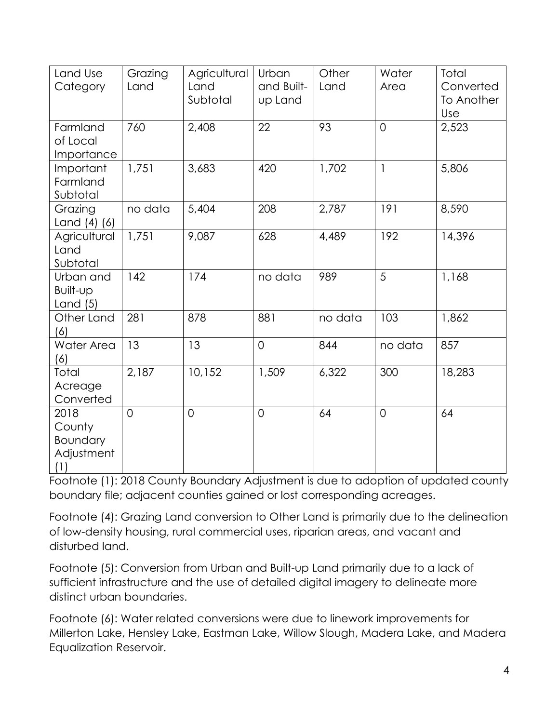| Land Use<br>Category                            | Grazing<br>Land | Agricultural<br>Land<br>Subtotal | Urban<br>and Built-<br>up Land | Other<br>Land | Water<br>Area  | Total<br>Converted<br>To Another<br>Use |
|-------------------------------------------------|-----------------|----------------------------------|--------------------------------|---------------|----------------|-----------------------------------------|
| Farmland<br>of Local<br>Importance              | 760             | 2,408                            | 22                             | 93            | $\overline{0}$ | 2,523                                   |
| Important<br>Farmland<br>Subtotal               | 1,751           | 3,683                            | 420                            | 1,702         | $\mathbf{1}$   | 5,806                                   |
| Grazing<br>Land (4) (6)                         | no data         | 5,404                            | 208                            | 2,787         | 191            | 8,590                                   |
| Agricultural<br>Land<br>Subtotal                | 1,751           | 9,087                            | 628                            | 4,489         | 192            | 14,396                                  |
| Urban and<br>Built-up<br>Land $(5)$             | 142             | 174                              | no data                        | 989           | 5              | 1,168                                   |
| Other Land<br>(6)                               | 281             | 878                              | 881                            | no data       | 103            | 1,862                                   |
| Water Area<br>(6)                               | 13              | 13                               | $\overline{O}$                 | 844           | no data        | 857                                     |
| Total<br>Acreage<br>Converted                   | 2,187           | 10,152                           | 1,509                          | 6,322         | 300            | 18,283                                  |
| 2018<br>County<br>Boundary<br>Adjustment<br>(1) | $\overline{0}$  | $\overline{0}$                   | $\overline{O}$                 | 64            | $\overline{0}$ | 64                                      |

Footnote (1): 2018 County Boundary Adjustment is due to adoption of updated county boundary file; adjacent counties gained or lost corresponding acreages.

Footnote (4): Grazing Land conversion to Other Land is primarily due to the delineation of low-density housing, rural commercial uses, riparian areas, and vacant and disturbed land.

Footnote (5): Conversion from Urban and Built-up Land primarily due to a lack of sufficient infrastructure and the use of detailed digital imagery to delineate more distinct urban boundaries.

Footnote (6): Water related conversions were due to linework improvements for Millerton Lake, Hensley Lake, Eastman Lake, Willow Slough, Madera Lake, and Madera Equalization Reservoir.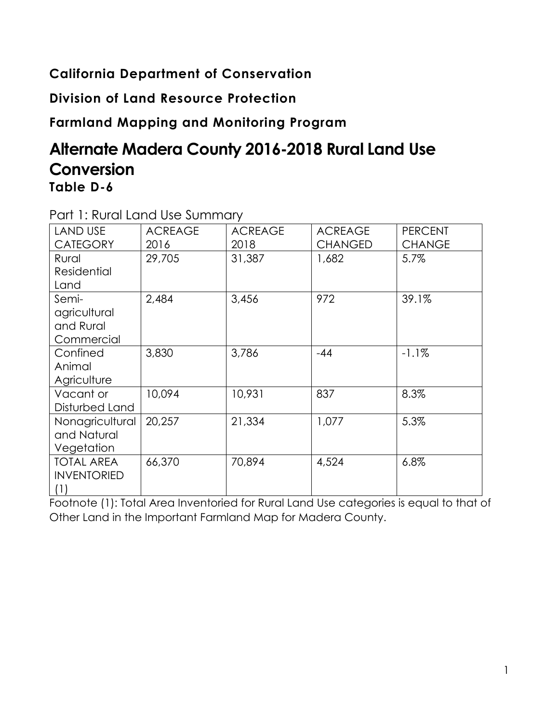## **California Department of Conservation**

**Division of Land Resource Protection**

**Farmland Mapping and Monitoring Program**

## **Alternate Madera County 2016-2018 Rural Land Use Conversion Table D-6**

|                    | $\frac{1}{2}$  |                |                |                |
|--------------------|----------------|----------------|----------------|----------------|
| <b>LAND USE</b>    | <b>ACREAGE</b> | <b>ACREAGE</b> | <b>ACREAGE</b> | <b>PERCENT</b> |
| <b>CATEGORY</b>    | 2016           | 2018           | <b>CHANGED</b> | <b>CHANGE</b>  |
| Rural              | 29,705         | 31,387         | 1,682          | 5.7%           |
| <b>Residential</b> |                |                |                |                |
| Land               |                |                |                |                |
| Semi-              | 2,484          | 3,456          | 972            | 39.1%          |
| agricultural       |                |                |                |                |
| and Rural          |                |                |                |                |
| Commercial         |                |                |                |                |
| Confined           | 3,830          | 3,786          | $-44$          | $-1.1\%$       |
| Animal             |                |                |                |                |
| Agriculture        |                |                |                |                |
| Vacant or          | 10,094         | 10,931         | 837            | 8.3%           |
| Disturbed Land     |                |                |                |                |
| Nonagricultural    | 20,257         | 21,334         | 1,077          | 5.3%           |
| and Natural        |                |                |                |                |
| Vegetation         |                |                |                |                |
| <b>TOTAL AREA</b>  | 66,370         | 70,894         | 4,524          | 6.8%           |
| <b>INVENTORIED</b> |                |                |                |                |
| (1)                |                |                |                |                |

Part 1: Rural Land Use Summary

Footnote (1): Total Area Inventoried for Rural Land Use categories is equal to that of Other Land in the Important Farmland Map for Madera County.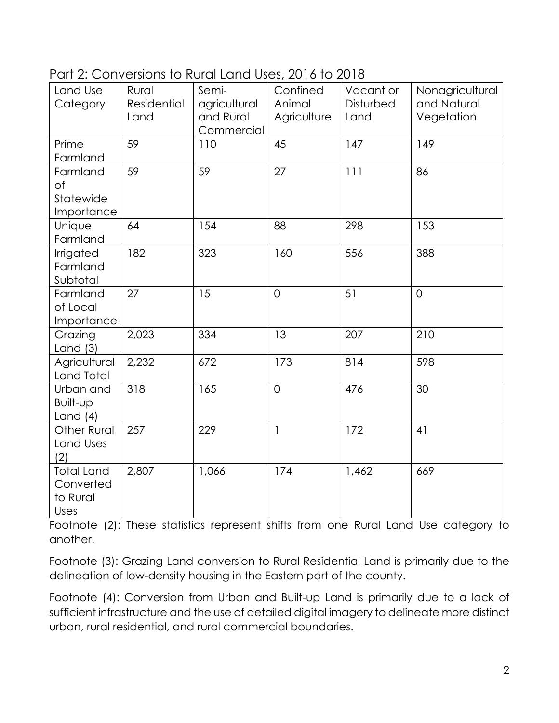| Part 2: Conversions to Rural Land Uses, 2016 to 2018 |
|------------------------------------------------------|
|------------------------------------------------------|

| Land Use           | Rural              | Semi-        | Confined       | Vacant or | Nonagricultural |
|--------------------|--------------------|--------------|----------------|-----------|-----------------|
| Category           | <b>Residential</b> | agricultural | Animal         | Disturbed | and Natural     |
|                    | Land               | and Rural    | Agriculture    | Land      | Vegetation      |
|                    |                    | Commercial   |                |           |                 |
| Prime              | 59                 | 110          | 45             | 147       | 149             |
| Farmland           |                    |              |                |           |                 |
| Farmland           | 59                 | 59           | 27             | 111       | 86              |
| of                 |                    |              |                |           |                 |
| Statewide          |                    |              |                |           |                 |
| Importance         |                    |              |                |           |                 |
| Unique             | 64                 | 154          | 88             | 298       | 153             |
| Farmland           |                    |              |                |           |                 |
| Irrigated          | 182                | 323          | 160            | 556       | 388             |
| Farmland           |                    |              |                |           |                 |
| Subtotal           |                    |              |                |           |                 |
| Farmland           | 27                 | 15           | $\overline{O}$ | 51        | $\overline{O}$  |
| of Local           |                    |              |                |           |                 |
| Importance         |                    |              |                |           |                 |
| Grazing            | 2,023              | 334          | 13             | 207       | 210             |
| Land $(3)$         |                    |              |                |           |                 |
| Agricultural       | 2,232              | 672          | 173            | 814       | 598             |
| Land Total         |                    |              |                |           |                 |
| Urban and          | 318                | 165          | $\overline{O}$ | 476       | 30              |
| Built-up           |                    |              |                |           |                 |
| Land $(4)$         |                    |              |                |           |                 |
| <b>Other Rural</b> | 257                | 229          | $\mathbf{1}$   | 172       | 41              |
| Land Uses          |                    |              |                |           |                 |
| (2)                |                    |              |                |           |                 |
| <b>Total Land</b>  | 2,807              | 1,066        | 174            | 1,462     | 669             |
| Converted          |                    |              |                |           |                 |
| to Rural           |                    |              |                |           |                 |
| Uses               |                    |              |                |           |                 |

Footnote (2): These statistics represent shifts from one Rural Land Use category to another.

Footnote (3): Grazing Land conversion to Rural Residential Land is primarily due to the delineation of low-density housing in the Eastern part of the county.

Footnote (4): Conversion from Urban and Built-up Land is primarily due to a lack of sufficient infrastructure and the use of detailed digital imagery to delineate more distinct urban, rural residential, and rural commercial boundaries.